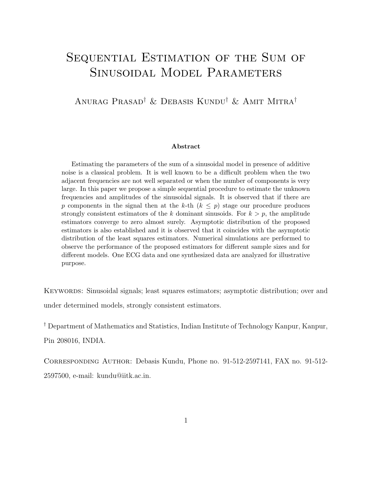# Sequential Estimation of the Sum of Sinusoidal Model Parameters

#### Anurag Prasad† & Debasis Kundu† & Amit Mitra†

#### Abstract

Estimating the parameters of the sum of a sinusoidal model in presence of additive noise is a classical problem. It is well known to be a difficult problem when the two adjacent frequencies are not well separated or when the number of components is very large. In this paper we propose a simple sequential procedure to estimate the unknown frequencies and amplitudes of the sinusoidal signals. It is observed that if there are p components in the signal then at the k-th  $(k \leq p)$  stage our procedure produces strongly consistent estimators of the k dominant sinusoids. For  $k > p$ , the amplitude estimators converge to zero almost surely. Asymptotic distribution of the proposed estimators is also established and it is observed that it coincides with the asymptotic distribution of the least squares estimators. Numerical simulations are performed to observe the performance of the proposed estimators for different sample sizes and for different models. One ECG data and one synthesized data are analyzed for illustrative purpose.

KEYWORDS: Sinusoidal signals; least squares estimators; asymptotic distribution; over and under determined models, strongly consistent estimators.

† Department of Mathematics and Statistics, Indian Institute of Technology Kanpur, Kanpur, Pin 208016, INDIA.

Corresponding Author: Debasis Kundu, Phone no. 91-512-2597141, FAX no. 91-512- 2597500, e-mail: kundu@iitk.ac.in.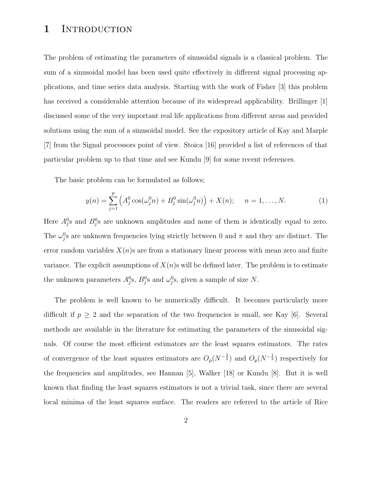#### 1 INTRODUCTION

The problem of estimating the parameters of sinusoidal signals is a classical problem. The sum of a sinusoidal model has been used quite effectively in different signal processing applications, and time series data analysis. Starting with the work of Fisher [3] this problem has received a considerable attention because of its widespread applicability. Brillinger [1] discussed some of the very important real life applications from different areas and provided solutions using the sum of a sinusoidal model. See the expository article of Kay and Marple [7] from the Signal processors point of view. Stoica [16] provided a list of references of that particular problem up to that time and see Kundu [9] for some recent references.

The basic problem can be formulated as follows;

$$
y(n) = \sum_{j=1}^{p} \left( A_j^0 \cos(\omega_j^0 n) + B_j^0 \sin(\omega_j^0 n) \right) + X(n); \quad n = 1, ..., N. \tag{1}
$$

Here  $A_j^0$ s and  $B_j^0$ s are unknown amplitudes and none of them is identically equal to zero. The  $\omega_j^0$ s are unknown frequencies lying strictly between 0 and  $\pi$  and they are distinct. The error random variables  $X(n)$ s are from a stationary linear process with mean zero and finite variance. The explicit assumptions of  $X(n)$ s will be defined later. The problem is to estimate the unknown parameters  $A_j^0$ s,  $B_j^0$ s and  $\omega_j^0$ s, given a sample of size N.

The problem is well known to be numerically difficult. It becomes particularly more difficult if  $p \geq 2$  and the separation of the two frequencies is small, see Kay [6]. Several methods are available in the literature for estimating the parameters of the sinusoidal signals. Of course the most efficient estimators are the least squares estimators. The rates of convergence of the least squares estimators are  $O_p(N^{-\frac{3}{2}})$  and  $O_p(N^{-\frac{1}{2}})$  respectively for the frequencies and amplitudes, see Hannan [5], Walker [18] or Kundu [8]. But it is well known that finding the least squares estimators is not a trivial task, since there are several local minima of the least squares surface. The readers are referred to the article of Rice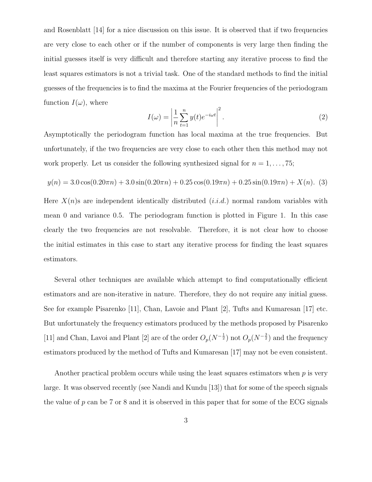and Rosenblatt [14] for a nice discussion on this issue. It is observed that if two frequencies are very close to each other or if the number of components is very large then finding the initial guesses itself is very difficult and therefore starting any iterative process to find the least squares estimators is not a trivial task. One of the standard methods to find the initial guesses of the frequencies is to find the maxima at the Fourier frequencies of the periodogram function  $I(\omega)$ , where

$$
I(\omega) = \left| \frac{1}{n} \sum_{t=1}^{n} y(t) e^{-i\omega t} \right|^2.
$$
 (2)

Asymptotically the periodogram function has local maxima at the true frequencies. But unfortunately, if the two frequencies are very close to each other then this method may not work properly. Let us consider the following synthesized signal for  $n = 1, \ldots, 75$ ;

$$
y(n) = 3.0\cos(0.20\pi n) + 3.0\sin(0.20\pi n) + 0.25\cos(0.19\pi n) + 0.25\sin(0.19\pi n) + X(n). (3)
$$

Here  $X(n)$ s are independent identically distributed  $(i.i.d.)$  normal random variables with mean 0 and variance 0.5. The periodogram function is plotted in Figure 1. In this case clearly the two frequencies are not resolvable. Therefore, it is not clear how to choose the initial estimates in this case to start any iterative process for finding the least squares estimators.

Several other techniques are available which attempt to find computationally efficient estimators and are non-iterative in nature. Therefore, they do not require any initial guess. See for example Pisarenko [11], Chan, Lavoie and Plant [2], Tufts and Kumaresan [17] etc. But unfortunately the frequency estimators produced by the methods proposed by Pisarenko [11] and Chan, Lavoi and Plant [2] are of the order  $O_p(N^{-\frac{1}{2}})$  not  $O_p(N^{-\frac{3}{2}})$  and the frequency estimators produced by the method of Tufts and Kumaresan [17] may not be even consistent.

Another practical problem occurs while using the least squares estimators when  $p$  is very large. It was observed recently (see Nandi and Kundu [13]) that for some of the speech signals the value of p can be 7 or 8 and it is observed in this paper that for some of the ECG signals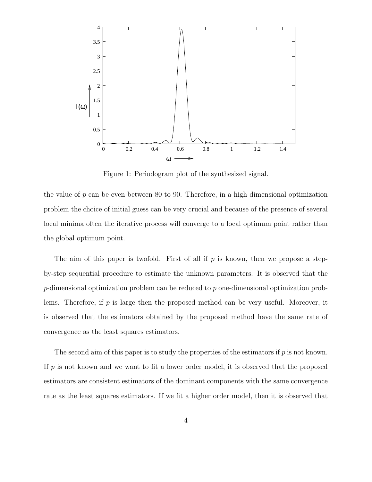

Figure 1: Periodogram plot of the synthesized signal.

the value of  $p$  can be even between 80 to 90. Therefore, in a high dimensional optimization problem the choice of initial guess can be very crucial and because of the presence of several local minima often the iterative process will converge to a local optimum point rather than the global optimum point.

The aim of this paper is twofold. First of all if  $p$  is known, then we propose a stepby-step sequential procedure to estimate the unknown parameters. It is observed that the  $p$ -dimensional optimization problem can be reduced to p one-dimensional optimization problems. Therefore, if  $p$  is large then the proposed method can be very useful. Moreover, it is observed that the estimators obtained by the proposed method have the same rate of convergence as the least squares estimators.

The second aim of this paper is to study the properties of the estimators if  $p$  is not known. If  $p$  is not known and we want to fit a lower order model, it is observed that the proposed estimators are consistent estimators of the dominant components with the same convergence rate as the least squares estimators. If we fit a higher order model, then it is observed that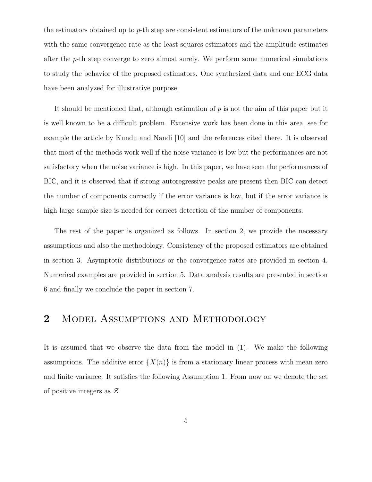the estimators obtained up to p-th step are consistent estimators of the unknown parameters with the same convergence rate as the least squares estimators and the amplitude estimates after the p-th step converge to zero almost surely. We perform some numerical simulations to study the behavior of the proposed estimators. One synthesized data and one ECG data have been analyzed for illustrative purpose.

It should be mentioned that, although estimation of  $p$  is not the aim of this paper but it is well known to be a difficult problem. Extensive work has been done in this area, see for example the article by Kundu and Nandi [10] and the references cited there. It is observed that most of the methods work well if the noise variance is low but the performances are not satisfactory when the noise variance is high. In this paper, we have seen the performances of BIC, and it is observed that if strong autoregressive peaks are present then BIC can detect the number of components correctly if the error variance is low, but if the error variance is high large sample size is needed for correct detection of the number of components.

The rest of the paper is organized as follows. In section 2, we provide the necessary assumptions and also the methodology. Consistency of the proposed estimators are obtained in section 3. Asymptotic distributions or the convergence rates are provided in section 4. Numerical examples are provided in section 5. Data analysis results are presented in section 6 and finally we conclude the paper in section 7.

#### 2 MODEL ASSUMPTIONS AND METHODOLOGY

It is assumed that we observe the data from the model in (1). We make the following assumptions. The additive error  $\{X(n)\}\$ is from a stationary linear process with mean zero and finite variance. It satisfies the following Assumption 1. From now on we denote the set of positive integers as Z.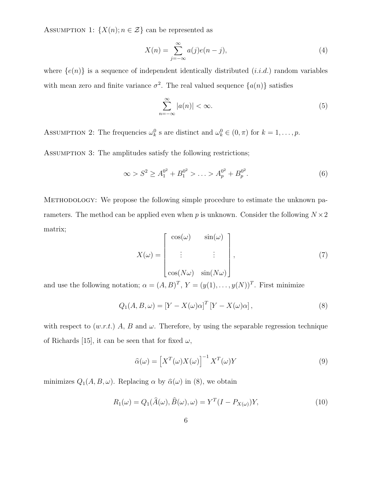ASSUMPTION 1:  $\{X(n); n \in \mathcal{Z}\}\)$  can be represented as

$$
X(n) = \sum_{j=-\infty}^{\infty} a(j)e(n-j),
$$
\n(4)

where  $\{e(n)\}\$ is a sequence of independent identically distributed  $(i.i.d.)$  random variables with mean zero and finite variance  $\sigma^2$ . The real valued sequence  $\{a(n)\}$  satisfies

$$
\sum_{n=-\infty}^{\infty} |a(n)| < \infty. \tag{5}
$$

ASSUMPTION 2: The frequencies  $\omega_k^0$  s are distinct and  $\omega_k^0 \in (0, \pi)$  for  $k = 1, \ldots, p$ .

ASSUMPTION 3: The amplitudes satisfy the following restrictions;

$$
\infty > S^2 \ge A_1^{0^2} + B_1^{0^2} > \ldots > A_p^{0^2} + B_p^{0^2}.
$$
 (6)

Methodology: We propose the following simple procedure to estimate the unknown parameters. The method can be applied even when p is unknown. Consider the following  $N \times 2$ matrix;

$$
X(\omega) = \begin{bmatrix} \cos(\omega) & \sin(\omega) \\ \vdots & \vdots \\ \cos(N\omega) & \sin(N\omega) \end{bmatrix},
$$
 (7)

and use the following notation;  $\alpha = (A, B)^T$ ,  $Y = (y(1), \ldots, y(N))^T$ . First minimize

$$
Q_1(A, B, \omega) = \left[ Y - X(\omega)\alpha \right]^T \left[ Y - X(\omega)\alpha \right],\tag{8}
$$

with respect to  $(w.r.t.)$  A, B and  $\omega$ . Therefore, by using the separable regression technique of Richards [15], it can be seen that for fixed  $\omega$ ,

$$
\widehat{\alpha}(\omega) = \left[ X^T(\omega) X(\omega) \right]^{-1} X^T(\omega) Y \tag{9}
$$

minimizes  $Q_1(A, B, \omega)$ . Replacing  $\alpha$  by  $\hat{\alpha}(\omega)$  in (8), we obtain

$$
R_1(\omega) = Q_1(\widehat{A}(\omega), \widehat{B}(\omega), \omega) = Y^T (I - P_{X(\omega)}) Y,
$$
\n(10)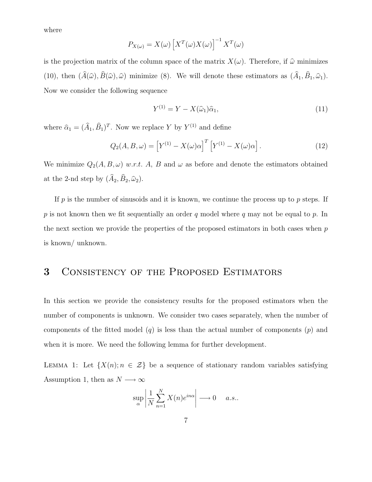where

$$
P_{X(\omega)} = X(\omega) \left[ X^T(\omega) X(\omega) \right]^{-1} X^T(\omega)
$$

is the projection matrix of the column space of the matrix  $X(\omega)$ . Therefore, if  $\hat{\omega}$  minimizes (10), then  $(A(\hat{\omega}), B(\hat{\omega}), \hat{\omega})$  minimize (8). We will denote these estimators as  $(A_1, B_1, \hat{\omega}_1)$ . Now we consider the following sequence

$$
Y^{(1)} = Y - X(\hat{\omega}_1)\hat{\alpha}_1,\tag{11}
$$

where  $\hat{\alpha}_1 = (\hat{A}_1, \hat{B}_1)^T$ . Now we replace Y by  $Y^{(1)}$  and define

$$
Q_2(A, B, \omega) = \left[ Y^{(1)} - X(\omega)\alpha \right]^T \left[ Y^{(1)} - X(\omega)\alpha \right]. \tag{12}
$$

We minimize  $Q_2(A, B, \omega)$  w.r.t. A, B and  $\omega$  as before and denote the estimators obtained at the 2-nd step by  $(A_2, B_2, \hat{\omega}_2)$ .

If  $p$  is the number of sinusoids and it is known, we continue the process up to  $p$  steps. If p is not known then we fit sequentially an order q model where q may not be equal to p. In the next section we provide the properties of the proposed estimators in both cases when p is known/ unknown.

#### 3 Consistency of the Proposed Estimators

In this section we provide the consistency results for the proposed estimators when the number of components is unknown. We consider two cases separately, when the number of components of the fitted model  $(q)$  is less than the actual number of components  $(p)$  and when it is more. We need the following lemma for further development.

LEMMA 1: Let  $\{X(n); n \in \mathcal{Z}\}\$ be a sequence of stationary random variables satisfying Assumption 1, then as  $N\longrightarrow\infty$ 

$$
\sup_{\alpha} \left| \frac{1}{N} \sum_{n=1}^{N} X(n) e^{in\alpha} \right| \longrightarrow 0 \quad a.s..
$$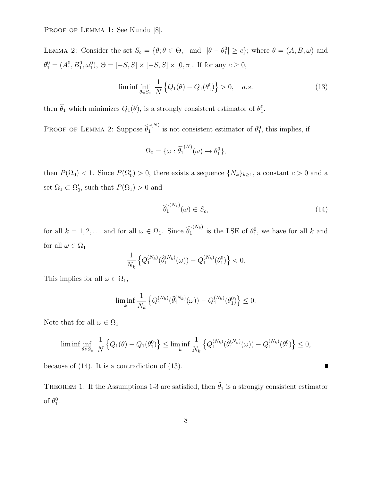PROOF OF LEMMA 1: See Kundu [8].

LEMMA 2: Consider the set  $S_c = \{\theta; \theta \in \Theta, \text{ and } |\theta - \theta_1^0| \ge c\}$ ; where  $\theta = (A, B, \omega)$  and  $\theta_1^0 = (A_1^0, B_1^0, \omega_1^0), \Theta = [-S, S] \times [-S, S] \times [0, \pi].$  If for any  $c \ge 0$ ,

$$
\liminf_{\theta \in S_c} \frac{1}{N} \left\{ Q_1(\theta) - Q_1(\theta_1^0) \right\} > 0, \quad a.s. \tag{13}
$$

then  $\hat{\theta}_1$  which minimizes  $Q_1(\theta)$ , is a strongly consistent estimator of  $\theta_1^0$ .

PROOF OF LEMMA 2: Suppose  $\widehat{\theta_1}^{(N)}$  is not consistent estimator of  $\theta_1^0$ , this implies, if

$$
\Omega_0 = \{ \omega : \widehat{\theta_1}^{(N)}(\omega) \to \theta_1^0 \},
$$

then  $P(\Omega_0) < 1$ . Since  $P(\Omega_0') > 0$ , there exists a sequence  $\{N_k\}_{k \geq 1}$ , a constant  $c > 0$  and a set  $\Omega_1 \subset \Omega_0'$ , such that  $P(\Omega_1) > 0$  and

$$
\widehat{\theta_1}^{(N_k)}(\omega) \in S_c,\tag{14}
$$

for all  $k = 1, 2, ...$  and for all  $\omega \in \Omega_1$ . Since  $\widehat{\theta_1}^{(N_k)}$  is the LSE of  $\theta_1^0$ , we have for all k and for all  $\omega \in \Omega_1$ 

$$
\frac{1}{N_k} \left\{ Q_1^{(N_k)}(\hat{\theta}_1^{(N_k)}(\omega)) - Q_1^{(N_k)}(\theta_1^0) \right\} < 0.
$$

This implies for all  $\omega \in \Omega_1$ ,

$$
\liminf_{k} \frac{1}{N_k} \left\{ Q_1^{(N_k)}(\hat{\theta}_1^{(N_k)}(\omega)) - Q_1^{(N_k)}(\theta_1^0) \right\} \le 0.
$$

Note that for all  $\omega\in\Omega_1$ 

$$
\liminf_{\theta \in S_c} \frac{1}{N} \left\{ Q_1(\theta) - Q_1(\theta_1^0) \right\} \le \liminf_{k} \frac{1}{N_k} \left\{ Q_1^{(N_k)}(\hat{\theta}_1^{(N_k)}(\omega)) - Q_1^{(N_k)}(\theta_1^0) \right\} \le 0,
$$

because of (14). It is a contradiction of (13).

THEOREM 1: If the Assumptions 1-3 are satisfied, then  $\hat{\theta}_1$  is a strongly consistent estimator of  $\theta_1^0$ .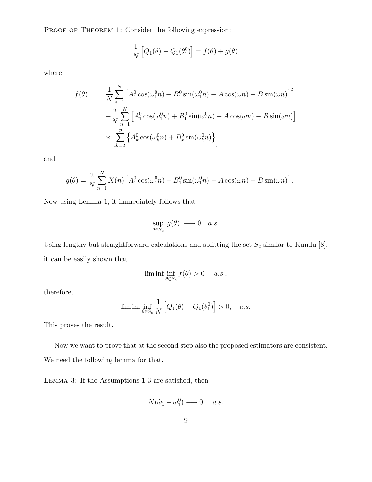PROOF OF THEOREM 1: Consider the following expression:

$$
\frac{1}{N}\left[Q_1(\theta) - Q_1(\theta_1^0)\right] = f(\theta) + g(\theta),
$$

where

$$
f(\theta) = \frac{1}{N} \sum_{n=1}^{N} \left[ A_1^0 \cos(\omega_1^0 n) + B_1^0 \sin(\omega_1^0 n) - A \cos(\omega n) - B \sin(\omega n) \right]^2
$$
  
+ 
$$
\frac{2}{N} \sum_{n=1}^{N} \left[ A_1^0 \cos(\omega_1^0 n) + B_1^0 \sin(\omega_1^0 n) - A \cos(\omega n) - B \sin(\omega n) \right]
$$
  

$$
\times \left[ \sum_{k=2}^{P} \left\{ A_k^0 \cos(\omega_k^0 n) + B_k^0 \sin(\omega_k^0 n) \right\} \right]
$$

and

$$
g(\theta) = \frac{2}{N} \sum_{n=1}^{N} X(n) \left[ A_1^0 \cos(\omega_1^0 n) + B_1^0 \sin(\omega_1^0 n) - A \cos(\omega n) - B \sin(\omega n) \right].
$$

Now using Lemma 1, it immediately follows that

$$
\sup_{\theta \in S_c} |g(\theta)| \longrightarrow 0 \quad a.s.
$$

Using lengthy but straightforward calculations and splitting the set  $S_c$  similar to Kundu [8], it can be easily shown that

$$
\liminf \inf_{\theta \in S_c} f(\theta) > 0 \quad a.s.,
$$

therefore,

$$
\liminf_{\theta \in S_c} \frac{1}{N} \left[ Q_1(\theta) - Q_1(\theta_1^0) \right] > 0, \quad a.s.
$$

This proves the result.

Now we want to prove that at the second step also the proposed estimators are consistent. We need the following lemma for that.

Lemma 3: If the Assumptions 1-3 are satisfied, then

$$
N(\widehat{\omega}_1 - \omega_1^0) \longrightarrow 0 \quad a.s.
$$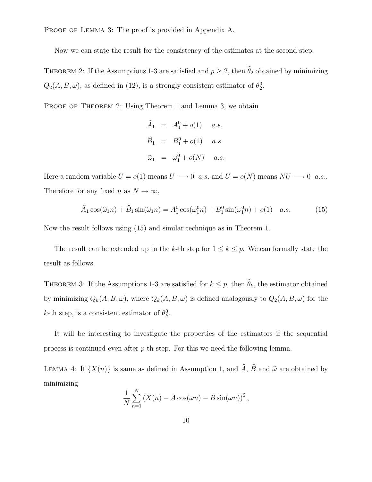PROOF OF LEMMA 3: The proof is provided in Appendix A.

Now we can state the result for the consistency of the estimates at the second step.

THEOREM 2: If the Assumptions 1-3 are satisfied and  $p \geq 2$ , then  $\widehat{\theta}_2$  obtained by minimizing  $Q_2(A, B, \omega)$ , as defined in (12), is a strongly consistent estimator of  $\theta_2^0$ .

PROOF OF THEOREM 2: Using Theorem 1 and Lemma 3, we obtain

$$
\hat{A}_1 = A_1^0 + o(1) \quad a.s.
$$
  
\n
$$
\hat{B}_1 = B_1^0 + o(1) \quad a.s.
$$
  
\n
$$
\hat{\omega}_1 = \omega_1^0 + o(N) \quad a.s.
$$

Here a random variable  $U = o(1)$  means  $U \longrightarrow 0$  a.s. and  $U = o(N)$  means  $NU \longrightarrow 0$  a.s.. Therefore for any fixed n as  $N \to \infty$ ,

$$
\widehat{A}_1 \cos(\widehat{\omega}_1 n) + \widehat{B}_1 \sin(\widehat{\omega}_1 n) = A_1^0 \cos(\omega_1^0 n) + B_1^0 \sin(\omega_1^0 n) + o(1) \quad a.s.
$$
 (15)

Now the result follows using (15) and similar technique as in Theorem 1.

The result can be extended up to the k-th step for  $1 \leq k \leq p$ . We can formally state the result as follows.

THEOREM 3: If the Assumptions 1-3 are satisfied for  $k \leq p$ , then  $\hat{\theta}_k$ , the estimator obtained by minimizing  $Q_k(A, B, \omega)$ , where  $Q_k(A, B, \omega)$  is defined analogously to  $Q_2(A, B, \omega)$  for the k-th step, is a consistent estimator of  $\theta_k^0$ .

It will be interesting to investigate the properties of the estimators if the sequential process is continued even after p-th step. For this we need the following lemma.

LEMMA 4: If  $\{X(n)\}\$ is same as defined in Assumption 1, and  $\hat{A}$ ,  $\hat{B}$  and  $\hat{\omega}$  are obtained by minimizing

$$
\frac{1}{N} \sum_{n=1}^{N} \left( X(n) - A \cos(\omega n) - B \sin(\omega n) \right)^2,
$$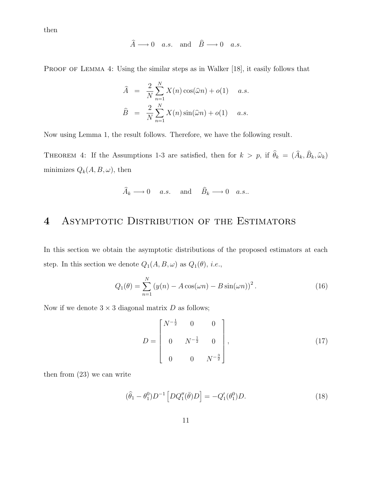then

$$
\widehat{A} \longrightarrow 0 \quad a.s. \quad \text{and} \quad \widehat{B} \longrightarrow 0 \quad a.s.
$$

PROOF OF LEMMA 4: Using the similar steps as in Walker [18], it easily follows that

$$
\widehat{A} = \frac{2}{N} \sum_{n=1}^{N} X(n) \cos(\widehat{\omega}n) + o(1) \quad a.s.
$$
  

$$
\widehat{B} = \frac{2}{N} \sum_{n=1}^{N} X(n) \sin(\widehat{\omega}n) + o(1) \quad a.s.
$$

Now using Lemma 1, the result follows. Therefore, we have the following result.

THEOREM 4: If the Assumptions 1-3 are satisfied, then for  $k > p$ , if  $\theta_k = (A_k, B_k, \hat{\omega}_k)$ minimizes  $Q_k(A, B, \omega)$ , then

$$
\widehat{A}_k \longrightarrow 0 \quad a.s. \quad \text{and} \quad \widehat{B}_k \longrightarrow 0 \quad a.s..
$$

# 4 Asymptotic Distribution of the Estimators

In this section we obtain the asymptotic distributions of the proposed estimators at each step. In this section we denote  $Q_1(A, B, \omega)$  as  $Q_1(\theta)$ , *i.e.*,

$$
Q_1(\theta) = \sum_{n=1}^{N} (y(n) - A\cos(\omega n) - B\sin(\omega n))^2.
$$
 (16)

Now if we denote  $3 \times 3$  diagonal matrix D as follows;

$$
D = \begin{bmatrix} N^{-\frac{1}{2}} & 0 & 0 \\ 0 & N^{-\frac{1}{2}} & 0 \\ 0 & 0 & N^{-\frac{3}{2}} \end{bmatrix},
$$
(17)

then from (23) we can write

$$
(\hat{\theta}_1 - \theta_1^0) D^{-1} \left[ D Q_1''(\bar{\theta}) D \right] = -Q_1'(\theta_1^0) D. \tag{18}
$$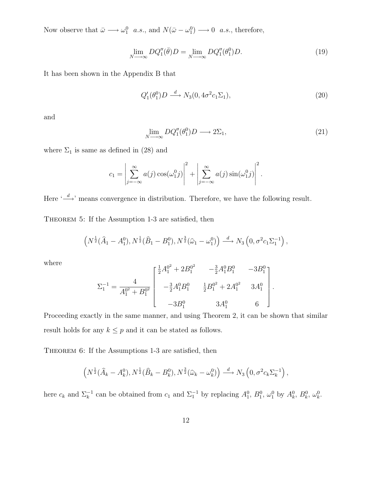Now observe that  $\bar{\omega} \longrightarrow \omega_1^0$  a.s., and  $N(\bar{\omega}-\omega_1^0) \longrightarrow 0$  a.s., therefore,

$$
\lim_{N \to \infty} DQ_1''(\bar{\theta})D = \lim_{N \to \infty} DQ_1''(\theta_1^0)D. \tag{19}
$$

It has been shown in the Appendix B that

$$
Q_1'(\theta_1^0)D \stackrel{d}{\longrightarrow} N_3(0, 4\sigma^2 c_1 \Sigma_1),\tag{20}
$$

and

$$
\lim_{N \to \infty} DQ_1''(\theta_1^0)D \longrightarrow 2\Sigma_1,\tag{21}
$$

where  $\Sigma_1$  is same as defined in (28) and

$$
c_1 = \left| \sum_{j=-\infty}^{\infty} a(j) \cos(\omega_1^0 j) \right|^2 + \left| \sum_{j=-\infty}^{\infty} a(j) \sin(\omega_1^0 j) \right|^2.
$$

Here  $\leftarrow d \rightarrow$  means convergence in distribution. Therefore, we have the following result.

THEOREM 5: If the Assumption 1-3 are satisfied, then

$$
\left(N^{\frac{1}{2}}(\hat{A}_1 - A_1^0), N^{\frac{1}{2}}(\hat{B}_1 - B_1^0), N^{\frac{3}{2}}(\hat{\omega}_1 - \omega_1^0)\right) \stackrel{d}{\longrightarrow} N_3\left(0, \sigma^2 c_1 \Sigma_1^{-1}\right),
$$

where

$$
\Sigma_1^{-1} = \frac{4}{A_1^{0^2} + B_1^{0^2}} \begin{bmatrix} \frac{1}{2}A_1^{0^2} + 2B_1^{0^2} & -\frac{3}{2}A_1^0 B_1^0 & -3B_1^0 \\ -\frac{3}{2}A_1^0 B_1^0 & \frac{1}{2}B_1^{0^2} + 2A_1^{0^2} & 3A_1^0 \\ -3B_1^0 & 3A_1^0 & 6 \end{bmatrix}.
$$

Proceeding exactly in the same manner, and using Theorem 2, it can be shown that similar result holds for any  $k\leq p$  and it can be stated as follows.

THEOREM 6: If the Assumptions 1-3 are satisfied, then

$$
\left(N^{\frac{1}{2}}(\widehat{A}_k - A_k^0), N^{\frac{1}{2}}(\widehat{B}_k - B_k^0), N^{\frac{3}{2}}(\widehat{\omega}_k - \omega_k^0)\right) \stackrel{d}{\longrightarrow} N_3\left(0, \sigma^2 c_k \Sigma_k^{-1}\right),
$$

here  $c_k$  and  $\Sigma_k^{-1}$  can be obtained from  $c_1$  and  $\Sigma_1^{-1}$  by replacing  $A_1^0$ ,  $B_1^0$ ,  $\omega_1^0$  by  $A_k^0$ ,  $B_k^0$ ,  $\omega_k^0$ .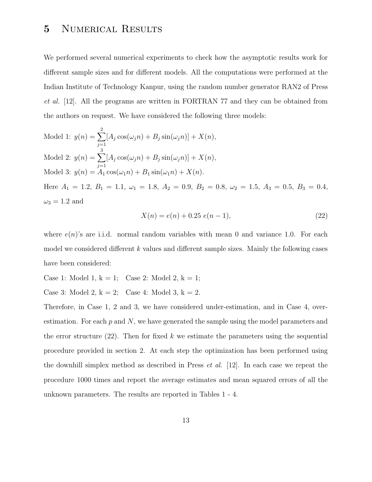# 5 Numerical Results

We performed several numerical experiments to check how the asymptotic results work for different sample sizes and for different models. All the computations were performed at the Indian Institute of Technology Kanpur, using the random number generator RAN2 of Press et al. [12]. All the programs are written in FORTRAN 77 and they can be obtained from the authors on request. We have considered the following three models:

Model 1: 
$$
y(n) = \sum_{j=1}^{2} [A_j \cos(\omega_j n) + B_j \sin(\omega_j n)] + X(n),
$$
  
\nModel 2:  $y(n) = \sum_{j=1}^{3} [A_j \cos(\omega_j n) + B_j \sin(\omega_j n)] + X(n),$   
\nModel 3:  $y(n) = A_1 \cos(\omega_1 n) + B_1 \sin(\omega_1 n) + X(n).$   
\nHere  $A_1 = 1.2$ ,  $B_1 = 1.1$ ,  $\omega_1 = 1.8$ ,  $A_2 = 0.9$ ,  $B_2 = 0.8$ ,  $\omega_2 = 1.5$ ,  $A_3 = 0.5$ ,  $B_3 = 0.4$ ,

$$
\omega_3 = 1.2 \text{ and}
$$

$$
X(n) = e(n) + 0.25 e(n - 1),
$$
\n(22)

where  $e(n)$ 's are i.i.d. normal random variables with mean 0 and variance 1.0. For each model we considered different k values and different sample sizes. Mainly the following cases have been considered:

- Case 1: Model 1,  $k = 1$ ; Case 2: Model 2,  $k = 1$ ;
- Case 3: Model 2,  $k = 2$ ; Case 4: Model 3,  $k = 2$ .

Therefore, in Case 1, 2 and 3, we have considered under-estimation, and in Case 4, overestimation. For each  $p$  and  $N$ , we have generated the sample using the model parameters and the error structure  $(22)$ . Then for fixed k we estimate the parameters using the sequential procedure provided in section 2. At each step the optimization has been performed using the downhill simplex method as described in Press *et al.* [12]. In each case we repeat the procedure 1000 times and report the average estimates and mean squared errors of all the unknown parameters. The results are reported in Tables 1 - 4.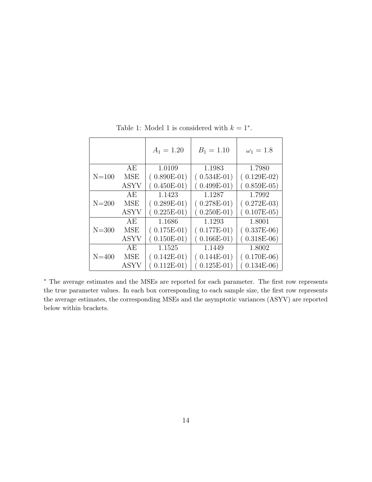|           |             | $A_1 = 1.20$  | $B_1 = 1.10$  | $\omega_1 = 1.8$ |
|-----------|-------------|---------------|---------------|------------------|
|           | AE          | 1.0109        | 1.1983        | 1.7980           |
| $N = 100$ | <b>MSE</b>  | $(0.890E-01)$ | $(0.534E-01)$ | $(0.129E-02)$    |
|           | <b>ASYV</b> | $(0.450E-01)$ | $0.499E-01)$  | $(0.859E-05)$    |
|           | AE          | 1.1423        | 1.1287        | 1.7992           |
| $N = 200$ | MSE         | $(0.289E-01)$ | $(0.278E-01)$ | $(0.272E-03)$    |
|           | <b>ASYV</b> | $(0.225E-01)$ | $0.250E-01)$  | $(0.107E-05)$    |
|           | АE          | 1.1686        | 1.1293        | 1.8001           |
| $N = 300$ | <b>MSE</b>  | $(0.175E-01)$ | $(0.177E-01)$ | $(0.337E-06)$    |
|           | <b>ASYV</b> | $(0.150E-01)$ | $0.166E-01)$  | $0.318E-06$      |
|           | AE          | 1.1525        | 1.1449        | 1.8002           |
| $N = 400$ | MSE         | $(0.142E-01)$ | $(0.144E-01)$ | $(0.170E-06)$    |
|           | <b>ASYV</b> | $(0.112E-01)$ | $0.125E-01)$  | $(0.134E-06)$    |

Table 1: Model 1 is considered with  $k = 1^*$ .

<sup>∗</sup> The average estimates and the MSEs are reported for each parameter. The first row represents the true parameter values. In each box corresponding to each sample size, the first row represents the average estimates, the corresponding MSEs and the asymptotic variances (ASYV) are reported below within brackets.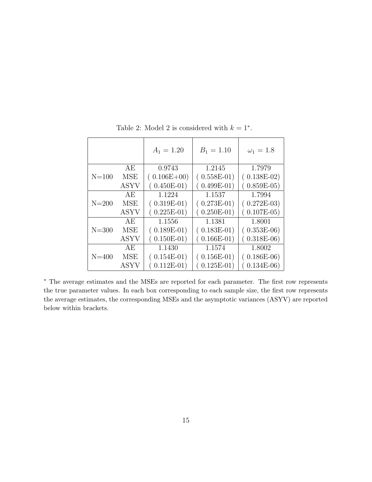|           |             | $A_1 = 1.20$  | $B_1 = 1.10$  | $\omega_1 = 1.8$ |
|-----------|-------------|---------------|---------------|------------------|
|           | АE          | 0.9743        | 1.2145        | 1.7979           |
| $N = 100$ | <b>MSE</b>  | $(0.106E+00)$ | $(0.558E-01)$ | $(0.138E-02)$    |
|           | <b>ASYV</b> | $(0.450E-01)$ | $(0.499E-01)$ | $(0.859E-05)$    |
|           | AE          | 1.1224        | 1.1537        | 1.7994           |
| $N = 200$ | <b>MSE</b>  | $(0.319E-01)$ | $(0.273E-01)$ | $(0.272E-03)$    |
|           | <b>ASYV</b> | $(0.225E-01)$ | $(0.250E-01)$ | $(0.107E-05)$    |
|           | АE          | 1.1556        | 1.1381        | 1.8001           |
| $N = 300$ | <b>MSE</b>  | $(0.189E-01)$ | $(0.183E-01)$ | $(0.353E-06)$    |
|           | ASYV        | $(0.150E-01)$ | $(0.166E-01)$ | $0.318E-06$      |
|           | AE          | 1.1430        | 1.1574        | 1.8002           |
| $N = 400$ | MSE         | $(0.154E-01)$ | $(0.156E-01)$ | $(0.186E-06)$    |
|           | <b>ASYV</b> | $(0.112E-01)$ | $(0.125E-01)$ | $(0.134E-06)$    |

Table 2: Model 2 is considered with  $k = 1^*$ .

<sup>∗</sup> The average estimates and the MSEs are reported for each parameter. The first row represents the true parameter values. In each box corresponding to each sample size, the first row represents the average estimates, the corresponding MSEs and the asymptotic variances (ASYV) are reported below within brackets.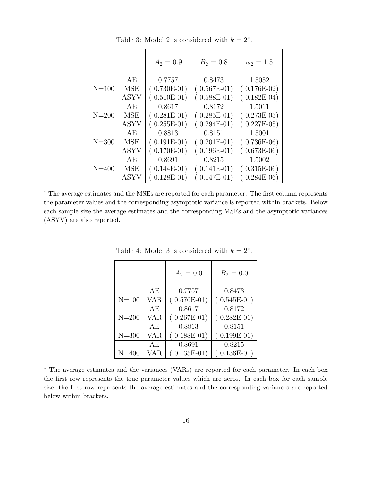|           |             | $A_2 = 0.9$   | $B_2 = 0.8$   | $\omega_2 = 1.5$ |
|-----------|-------------|---------------|---------------|------------------|
|           | AE          | 0.7757        | 0.8473        | 1.5052           |
| $N=100$   | <b>MSE</b>  | $(0.730E-01)$ | $(0.567E-01)$ | $(0.176E-02)$    |
|           | <b>ASYV</b> | $(0.510E-01)$ | $(0.588E-01)$ | $0.182E-04$      |
|           | AE          | 0.8617        | 0.8172        | 1.5011           |
| $N = 200$ | <b>MSE</b>  | $(0.281E-01)$ | $(0.285E-01)$ | $(0.273E-03)$    |
|           | <b>ASYV</b> | $(0.255E-01)$ | $(0.294E-01)$ | $0.227E-05$      |
|           | АE          | 0.8813        | 0.8151        | 1.5001           |
| $N = 300$ | <b>MSE</b>  | $(0.191E-01)$ | $(0.201E-01)$ | $(0.736E-06)$    |
|           | ASYV        | $(0.170E-01)$ | $(0.196E-01)$ | $0.673E-06$      |
|           | AE          | 0.8691        | 0.8215        | 1.5002           |
| $N = 400$ | MSE         | $(0.144E-01)$ | $(0.141E-01)$ | $(0.315E-06)$    |
|           | ASYV        | $0.128E-01)$  | $(0.147E-01)$ | $0.284E-06$      |

Table 3: Model 2 is considered with  $k = 2^*$ .

<sup>∗</sup> The average estimates and the MSEs are reported for each parameter. The first column represents the parameter values and the corresponding asymptotic variance is reported within brackets. Below each sample size the average estimates and the corresponding MSEs and the asymptotic variances (ASYV) are also reported.

|           |     | $A_2 = 0.0$   | $B_2 = 0.0$   |
|-----------|-----|---------------|---------------|
|           | AЕ  | 0.7757        | 0.8473        |
| $N = 100$ | VAR | $(0.576E-01)$ | $(0.545E-01)$ |
|           | AЕ  | 0.8617        | 0.8172        |
| $N = 200$ | VAR | $(0.267E-01)$ | $(0.282E-01)$ |
|           | ΑE  | 0.8813        | 0.8151        |
| $N = 300$ | VAR | $(0.188E-01)$ | $(0.199E-01)$ |
|           | AЕ  | 0.8691        | 0.8215        |
| $N = 400$ | VAR | $0.135E-01)$  | $0.136E-01)$  |

Table 4: Model 3 is considered with  $k = 2^*$ .

<sup>∗</sup> The average estimates and the variances (VARs) are reported for each parameter. In each box the first row represents the true parameter values which are zeros. In each box for each sample size, the first row represents the average estimates and the corresponding variances are reported below within brackets.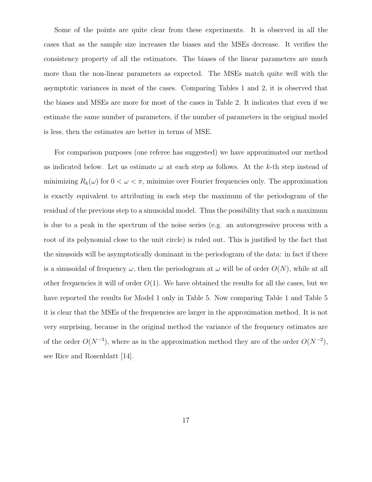Some of the points are quite clear from these experiments. It is observed in all the cases that as the sample size increases the biases and the MSEs decrease. It verifies the consistency property of all the estimators. The biases of the linear parameters are much more than the non-linear parameters as expected. The MSEs match quite well with the asymptotic variances in most of the cases. Comparing Tables 1 and 2, it is observed that the biases and MSEs are more for most of the cases in Table 2. It indicates that even if we estimate the same number of parameters, if the number of parameters in the original model is less, then the estimates are better in terms of MSE.

For comparison purposes (one referee has suggested) we have approximated our method as indicated below. Let us estimate  $\omega$  at each step as follows. At the k-th step instead of minimizing  $R_k(\omega)$  for  $0 < \omega < \pi$ , minimize over Fourier frequencies only. The approximation is exactly equivalent to attributing in each step the maximum of the periodogram of the residual of the previous step to a sinusoidal model. Thus the possibility that such a maximum is due to a peak in the spectrum of the noise series (e.g. an autoregressive process with a root of its polynomial close to the unit circle) is ruled out. This is justified by the fact that the sinusoids will be asymptotically dominant in the periodogram of the data: in fact if there is a sinusoidal of frequency  $\omega$ , then the periodogram at  $\omega$  will be of order  $O(N)$ , while at all other frequencies it will of order  $O(1)$ . We have obtained the results for all the cases, but we have reported the results for Model 1 only in Table 5. Now comparing Table 1 and Table 5 it is clear that the MSEs of the frequencies are larger in the approximation method. It is not very surprising, because in the original method the variance of the frequency estimates are of the order  $O(N^{-3})$ , where as in the approximation method they are of the order  $O(N^{-2})$ , see Rice and Rosenblatt [14].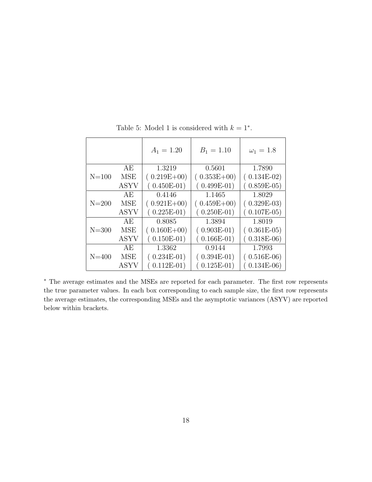|           |             | $A_1 = 1.20$    | $B_1 = 1.10$  | $\omega_1 = 1.8$ |
|-----------|-------------|-----------------|---------------|------------------|
|           | АE          | 1.3219          | 0.5601        | 1.7890           |
| $N = 100$ | MSE         | $(0.219E+00)$   | $(0.353E+00)$ | $(0.134E-02)$    |
|           | <b>ASYV</b> | $(0.450E-01)$   | $(0.499E-01)$ | $(0.859E-05)$    |
|           | AE          | 0.4146          | 1.1465        | 1.8029           |
| $N = 200$ | MSE         | $(0.921E+00)$   | $(0.459E+00)$ | $(0.329E-03)$    |
|           | <b>ASYV</b> | $(0.225E-01)$   | $(0.250E-01)$ | $(0.107E-05)$    |
|           | AЕ          | 0.8085          | 1.3894        | 1.8019           |
| $N = 300$ | MSE         | $(0.160E + 00)$ | $(0.903E-01)$ | $(0.361E-05)$    |
|           | <b>ASYV</b> | $(0.150E-01)$   | $(0.166E-01)$ | $(0.318E-06)$    |
|           | AE          | 1.3362          | 0.9144        | 1.7993           |
| $N = 400$ | MSE         | $(0.234E-01)$   | $(0.394E-01)$ | $(0.516E-06)$    |
|           | <b>ASYV</b> | $(0.112E-01)$   | $(0.125E-01)$ | $(0.134E-06)$    |

Table 5: Model 1 is considered with  $k = 1^*$ .

<sup>∗</sup> The average estimates and the MSEs are reported for each parameter. The first row represents the true parameter values. In each box corresponding to each sample size, the first row represents the average estimates, the corresponding MSEs and the asymptotic variances (ASYV) are reported below within brackets.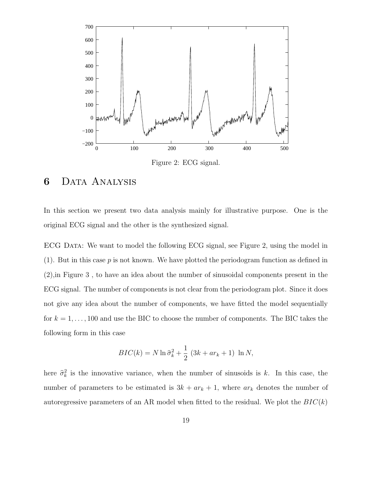

Figure 2: ECG signal.

### 6 Data Analysis

In this section we present two data analysis mainly for illustrative purpose. One is the original ECG signal and the other is the synthesized signal.

ECG Data: We want to model the following ECG signal, see Figure 2, using the model in (1). But in this case  $p$  is not known. We have plotted the periodogram function as defined in (2),in Figure 3 , to have an idea about the number of sinusoidal components present in the ECG signal. The number of components is not clear from the periodogram plot. Since it does not give any idea about the number of components, we have fitted the model sequentially for  $k = 1, \ldots, 100$  and use the BIC to choose the number of components. The BIC takes the following form in this case

$$
BIC(k) = N \ln \hat{\sigma}_k^2 + \frac{1}{2} \left( 3k + ar_k + 1 \right) \ln N,
$$

here  $\hat{\sigma}_k^2$  is the innovative variance, when the number of sinusoids is k. In this case, the number of parameters to be estimated is  $3k + ar_k + 1$ , where  $ar_k$  denotes the number of autoregressive parameters of an AR model when fitted to the residual. We plot the  $BIC(k)$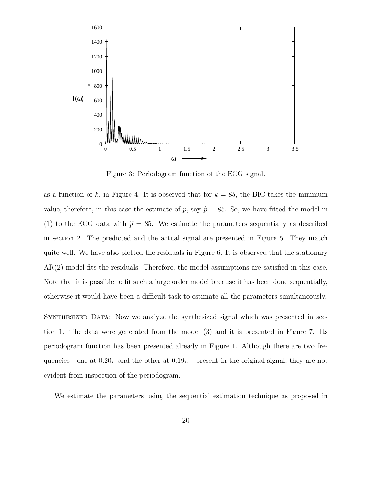

Figure 3: Periodogram function of the ECG signal.

as a function of k, in Figure 4. It is observed that for  $k = 85$ , the BIC takes the minimum value, therefore, in this case the estimate of p, say  $\hat{p} = 85$ . So, we have fitted the model in (1) to the ECG data with  $\hat{p} = 85$ . We estimate the parameters sequentially as described in section 2. The predicted and the actual signal are presented in Figure 5. They match quite well. We have also plotted the residuals in Figure 6. It is observed that the stationary AR(2) model fits the residuals. Therefore, the model assumptions are satisfied in this case. Note that it is possible to fit such a large order model because it has been done sequentially, otherwise it would have been a difficult task to estimate all the parameters simultaneously.

Synthesized Data: Now we analyze the synthesized signal which was presented in section 1. The data were generated from the model (3) and it is presented in Figure 7. Its periodogram function has been presented already in Figure 1. Although there are two frequencies - one at  $0.20\pi$  and the other at  $0.19\pi$  - present in the original signal, they are not evident from inspection of the periodogram.

We estimate the parameters using the sequential estimation technique as proposed in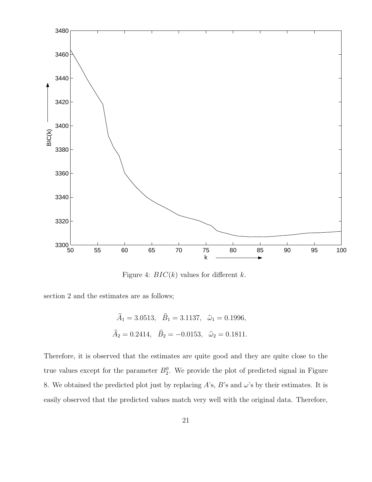

Figure 4:  $BIC(k)$  values for different k.

section 2 and the estimates are as follows;

$$
\hat{A}_1 = 3.0513
$$
,  $\hat{B}_1 = 3.1137$ ,  $\hat{\omega}_1 = 0.1996$ ,  
 $\hat{A}_2 = 0.2414$ ,  $\hat{B}_2 = -0.0153$ ,  $\hat{\omega}_2 = 0.1811$ .

Therefore, it is observed that the estimates are quite good and they are quite close to the true values except for the parameter  $B_2^0$ . We provide the plot of predicted signal in Figure 8. We obtained the predicted plot just by replacing  $A$ 's,  $B$ 's and  $\omega$ 's by their estimates. It is easily observed that the predicted values match very well with the original data. Therefore,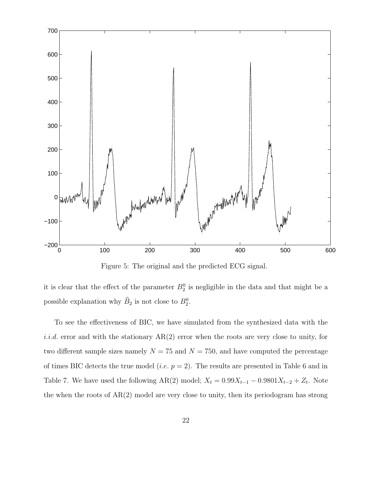

Figure 5: The original and the predicted ECG signal.

it is clear that the effect of the parameter  $B_2^0$  is negligible in the data and that might be a possible explanation why  $\widehat{B}_2$  is not close to  $B_2^0$ .

To see the effectiveness of BIC, we have simulated from the synthesized data with the *i.i.d.* error and with the stationary  $AR(2)$  error when the roots are very close to unity, for two different sample sizes namely  $N = 75$  and  $N = 750$ , and have computed the percentage of times BIC detects the true model (*i.e.*  $p = 2$ ). The results are presented in Table 6 and in Table 7. We have used the following AR(2) model;  $X_t = 0.99X_{t-1} - 0.9801X_{t-2} + Z_t$ . Note the when the roots of  $AR(2)$  model are very close to unity, then its periodogram has strong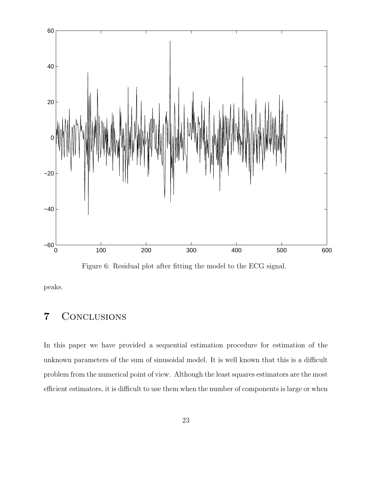

Figure 6: Residual plot after fitting the model to the ECG signal.

peaks.

# 7 Conclusions

In this paper we have provided a sequential estimation procedure for estimation of the unknown parameters of the sum of sinusoidal model. It is well known that this is a difficult problem from the numerical point of view. Although the least squares estimators are the most efficient estimators, it is difficult to use them when the number of components is large or when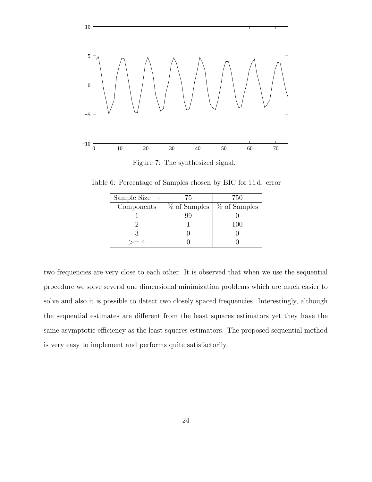

Figure 7: The synthesized signal.

Table 6: Percentage of Samples chosen by BIC for i.i.d. error

| Sample Size $\rightarrow$ | 75 | 750                                      |
|---------------------------|----|------------------------------------------|
| Components                |    | $\%$ of Samples $\frac{1}{2}$ of Samples |
|                           |    |                                          |
|                           |    | 100                                      |
|                           |    |                                          |
| >= 4                      |    |                                          |

two frequencies are very close to each other. It is observed that when we use the sequential procedure we solve several one dimensional minimization problems which are much easier to solve and also it is possible to detect two closely spaced frequencies. Interestingly, although the sequential estimates are different from the least squares estimators yet they have the same asymptotic efficiency as the least squares estimators. The proposed sequential method is very easy to implement and performs quite satisfactorily.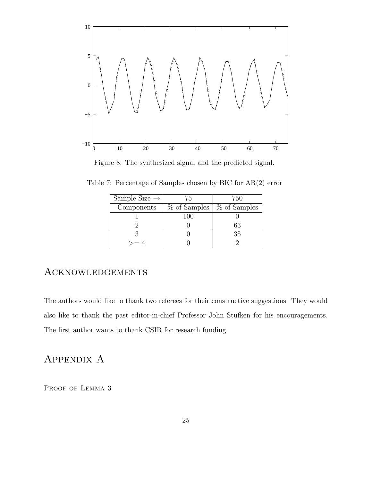

Figure 8: The synthesized signal and the predicted signal.

| Sample Size $\rightarrow$ | 75  | 750                         |
|---------------------------|-----|-----------------------------|
| Components                |     | % of Samples   % of Samples |
|                           | 100 |                             |
|                           |     | 63                          |
|                           |     | 35                          |
| $>= 4$                    |     |                             |

Table 7: Percentage of Samples chosen by BIC for AR(2) error

#### Acknowledgements

The authors would like to thank two referees for their constructive suggestions. They would also like to thank the past editor-in-chief Professor John Stufken for his encouragements. The first author wants to thank CSIR for research funding.

# APPENDIX A

PROOF OF LEMMA 3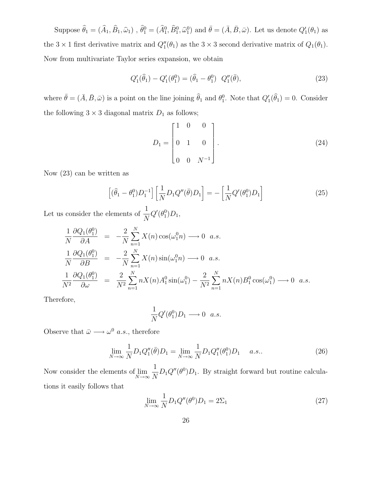Suppose  $\hat{\theta}_1 = (\hat{A}_1, \hat{B}_1, \hat{\omega}_1)$ ,  $\hat{\theta}_1^0 = (\hat{A}_1^0, \hat{B}_1^0, \hat{\omega}_1^0)$  and  $\bar{\theta} = (\bar{A}, \bar{B}, \bar{\omega})$ . Let us denote  $Q'_1(\theta_1)$  as the  $3 \times 1$  first derivative matrix and  $Q''_1(\theta_1)$  as the  $3 \times 3$  second derivative matrix of  $Q_1(\theta_1)$ . Now from multivariate Taylor series expansion, we obtain

$$
Q_1'(\hat{\theta}_1) - Q_1'(\theta_1^0) = (\hat{\theta}_1 - \theta_1^0) \ Q_1''(\bar{\theta}), \tag{23}
$$

where  $\bar{\theta} = (\bar{A}, \bar{B}, \bar{\omega})$  is a point on the line joining  $\hat{\theta}_1$  and  $\theta_1^0$ . Note that  $Q'_1(\hat{\theta}_1) = 0$ . Consider the following  $3 \times 3$  diagonal matrix  $D_1$  as follows;

$$
D_1 = \begin{bmatrix} 1 & 0 & 0 \\ 0 & 1 & 0 \\ 0 & 0 & N^{-1} \end{bmatrix}.
$$
 (24)

Now (23) can be written as

$$
\left[ (\widehat{\theta}_1 - \theta_1^0) D_1^{-1} \right] \left[ \frac{1}{N} D_1 Q''(\overline{\theta}) D_1 \right] = - \left[ \frac{1}{N} Q'(\theta_1^0) D_1 \right]
$$
\n(25)

Let us consider the elements of  $\frac{1}{N}$  $Q'(\theta_1^0)D_1,$ 

$$
\frac{1}{N} \frac{\partial Q_1(\theta_1^0)}{\partial A} = -\frac{2}{N} \sum_{n=1}^N X(n) \cos(\omega_1^0 n) \longrightarrow 0 \quad a.s.
$$
\n
$$
\frac{1}{N} \frac{\partial Q_1(\theta_1^0)}{\partial B} = -\frac{2}{N} \sum_{n=1}^N X(n) \sin(\omega_1^0 n) \longrightarrow 0 \quad a.s.
$$
\n
$$
\frac{1}{N^2} \frac{\partial Q_1(\theta_1^0)}{\partial \omega} = \frac{2}{N^2} \sum_{n=1}^N nX(n) A_1^0 \sin(\omega_1^0) - \frac{2}{N^2} \sum_{n=1}^N nX(n) B_1^0 \cos(\omega_1^0) \longrightarrow 0 \quad a.s.
$$

Therefore,

$$
\frac{1}{N}Q'(\theta_1^0)D_1 \longrightarrow 0 \quad a.s.
$$

Observe that  $\bar{\omega} \longrightarrow \omega^0$  *a.s.*, therefore

$$
\lim_{N \to \infty} \frac{1}{N} D_1 Q_1''(\bar{\theta}) D_1 = \lim_{N \to \infty} \frac{1}{N} D_1 Q_1''(\theta_1^0) D_1 \quad a.s.. \tag{26}
$$

Now consider the elements of  $\lim_{N\to\infty}$ 1  $\frac{1}{N}D_1Q''(\theta^0)D_1$ . By straight forward but routine calculations it easily follows that

$$
\lim_{N \to \infty} \frac{1}{N} D_1 Q''(\theta^0) D_1 = 2\Sigma_1
$$
\n(27)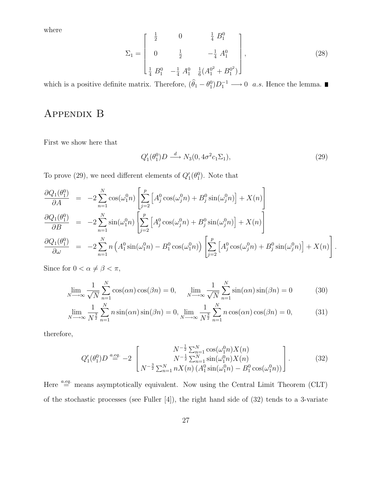where

$$
\Sigma_1 = \begin{bmatrix} \frac{1}{2} & 0 & \frac{1}{4} B_1^0 \\ 0 & \frac{1}{2} & -\frac{1}{4} A_1^0 \\ \frac{1}{4} B_1^0 & -\frac{1}{4} A_1^0 & \frac{1}{6} (A_1^{0^2} + B_1^{0^2}) \end{bmatrix},
$$
\n(28)

which is a positive definite matrix. Therefore,  $(\hat{\theta}_1 - \theta_1^0)D_1^{-1} \longrightarrow 0$  a.s. Hence the lemma.

# Appendix B

First we show here that

$$
Q_1'(\theta_1^0)D \stackrel{d}{\longrightarrow} N_3(0, 4\sigma^2 c_1 \Sigma_1),\tag{29}
$$

To prove (29), we need different elements of  $Q_1'(\theta_1^0)$ . Note that

$$
\frac{\partial Q_1(\theta_1^0)}{\partial A} = -2 \sum_{n=1}^N \cos(\omega_1^0 n) \left[ \sum_{j=2}^p \left[ A_j^0 \cos(\omega_j^0 n) + B_j^0 \sin(\omega_j^0 n) \right] + X(n) \right]
$$
  
\n
$$
\frac{\partial Q_1(\theta_1^0)}{\partial B} = -2 \sum_{n=1}^N \sin(\omega_1^0 n) \left[ \sum_{j=2}^p \left[ A_j^0 \cos(\omega_j^0 n) + B_j^0 \sin(\omega_j^0 n) \right] + X(n) \right]
$$
  
\n
$$
\frac{\partial Q_1(\theta_1^0)}{\partial \omega} = -2 \sum_{n=1}^N n \left( A_1^0 \sin(\omega_1^0 n) - B_1^0 \cos(\omega_1^0 n) \right) \left[ \sum_{j=2}^p \left[ A_j^0 \cos(\omega_j^0 n) + B_j^0 \sin(\omega_j^0 n) \right] + X(n) \right].
$$

Since for  $0 < \alpha \neq \beta < \pi$ ,

$$
\lim_{N \to \infty} \frac{1}{\sqrt{N}} \sum_{n=1}^{N} \cos(\alpha n) \cos(\beta n) = 0, \quad \lim_{N \to \infty} \frac{1}{\sqrt{N}} \sum_{n=1}^{N} \sin(\alpha n) \sin(\beta n) = 0
$$
 (30)

$$
\lim_{N \to \infty} \frac{1}{N^{\frac{3}{2}}} \sum_{n=1}^{N} n \sin(\alpha n) \sin(\beta n) = 0, \lim_{N \to \infty} \frac{1}{N^{\frac{3}{2}}} \sum_{n=1}^{N} n \cos(\alpha n) \cos(\beta n) = 0,
$$
 (31)

therefore,

$$
Q'_{1}(\theta_{1}^{0})D \stackrel{a.eq.}{=} -2 \begin{bmatrix} N^{-\frac{1}{2}} \sum_{n=1}^{N} \cos(\omega_{1}^{0} n) X(n) \\ N^{-\frac{1}{2}} \sum_{n=1}^{N} \sin(\omega_{1}^{0} n) X(n) \\ N^{-\frac{3}{2}} \sum_{n=1}^{N} n X(n) (A_{1}^{0} \sin(\omega_{1}^{0} n) - B_{1}^{0} \cos(\omega_{1}^{0} n)) \end{bmatrix}.
$$
 (32)

Here  $\stackrel{a.eq.}{=}$  means asymptotically equivalent. Now using the Central Limit Theorem (CLT) of the stochastic processes (see Fuller [4]), the right hand side of (32) tends to a 3-variate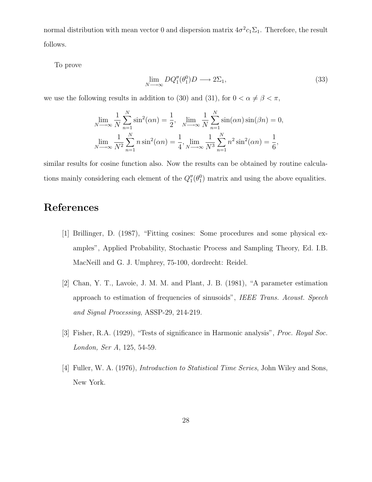normal distribution with mean vector 0 and dispersion matrix  $4\sigma^2 c_1 \Sigma_1$ . Therefore, the result follows.

To prove

$$
\lim_{N \to \infty} DQ_1''(\theta_1^0)D \longrightarrow 2\Sigma_1,\tag{33}
$$

we use the following results in addition to (30) and (31), for  $0 < \alpha \neq \beta < \pi$ ,

$$
\lim_{N \to \infty} \frac{1}{N} \sum_{n=1}^{N} \sin^{2}(\alpha n) = \frac{1}{2}, \quad \lim_{N \to \infty} \frac{1}{N} \sum_{n=1}^{N} \sin(\alpha n) \sin(\beta n) = 0,
$$
  

$$
\lim_{N \to \infty} \frac{1}{N^{2}} \sum_{n=1}^{N} n \sin^{2}(\alpha n) = \frac{1}{4}, \lim_{N \to \infty} \frac{1}{N^{3}} \sum_{n=1}^{N} n^{2} \sin^{2}(\alpha n) = \frac{1}{6},
$$

similar results for cosine function also. Now the results can be obtained by routine calculations mainly considering each element of the  $Q_1''(\theta_1^0)$  matrix and using the above equalities.

# References

- [1] Brillinger, D. (1987), "Fitting cosines: Some procedures and some physical examples", Applied Probability, Stochastic Process and Sampling Theory, Ed. I.B. MacNeill and G. J. Umphrey, 75-100, dordrecht: Reidel.
- [2] Chan, Y. T., Lavoie, J. M. M. and Plant, J. B. (1981), "A parameter estimation approach to estimation of frequencies of sinusoids", IEEE Trans. Acoust. Speech and Signal Processing, ASSP-29, 214-219.
- [3] Fisher, R.A. (1929), "Tests of significance in Harmonic analysis", Proc. Royal Soc. London, Ser A, 125, 54-59.
- [4] Fuller, W. A. (1976), *Introduction to Statistical Time Series*, John Wiley and Sons, New York.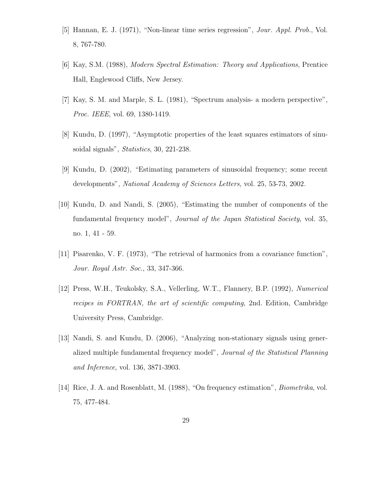- [5] Hannan, E. J. (1971), "Non-linear time series regression", Jour. Appl. Prob., Vol. 8, 767-780.
- [6] Kay, S.M. (1988), Modern Spectral Estimation: Theory and Applications, Prentice Hall, Englewood Cliffs, New Jersey.
- [7] Kay, S. M. and Marple, S. L. (1981), "Spectrum analysis- a modern perspective", Proc. IEEE, vol. 69, 1380-1419.
- [8] Kundu, D. (1997), "Asymptotic properties of the least squares estimators of sinusoidal signals", Statistics, 30, 221-238.
- [9] Kundu, D. (2002), "Estimating parameters of sinusoidal frequency; some recent developments", National Academy of Sciences Letters, vol. 25, 53-73, 2002.
- [10] Kundu, D. and Nandi, S. (2005), "Estimating the number of components of the fundamental frequency model", Journal of the Japan Statistical Society, vol. 35, no. 1, 41 - 59.
- [11] Pisarenko, V. F. (1973), "The retrieval of harmonics from a covariance function", Jour. Royal Astr. Soc., 33, 347-366.
- [12] Press, W.H., Teukolsky, S.A., Vellerling, W.T., Flannery, B.P. (1992), Numerical recipes in FORTRAN, the art of scientific computing, 2nd. Edition, Cambridge University Press, Cambridge.
- [13] Nandi, S. and Kundu, D. (2006), "Analyzing non-stationary signals using generalized multiple fundamental frequency model", Journal of the Statistical Planning and Inference, vol. 136, 3871-3903.
- [14] Rice, J. A. and Rosenblatt, M. (1988), "On frequency estimation", Biometrika, vol. 75, 477-484.